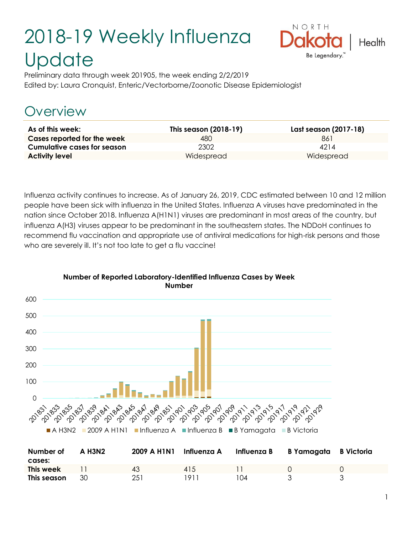# 2018-19 Weekly Influenza **Update**



Preliminary data through week 201905, the week ending 2/2/2019 Edited by: Laura Cronquist, Enteric/Vectorborne/Zoonotic Disease Epidemiologist

# Overview

| As of this week:                   | This season (2018-19) | Last season (2017-18) |
|------------------------------------|-----------------------|-----------------------|
| Cases reported for the week        | 480                   | 861                   |
| <b>Cumulative cases for season</b> | 2302                  | 4214                  |
| <b>Activity level</b>              | Widespread            | Widespread            |

Influenza activity continues to increase. As of January 26, 2019, CDC estimated between 10 and 12 million people have been sick with influenza in the United States. Influenza A viruses have predominated in the nation since October 2018. Influenza A(H1N1) viruses are predominant in most areas of the country, but influenza A(H3) viruses appear to be predominant in the southeastern states. The NDDoH continues to recommend flu vaccination and appropriate use of antiviral medications for high-risk persons and those who are severely ill. It's not too late to get a flu vaccine!



#### **Number of Reported Laboratory-Identified Influenza Cases by Week Number**

| Number of<br>cases: | <b>A H3N2</b> | 2009 A H1N1 | Influenza A | Influenza B | B Yamagata B Victoria |  |
|---------------------|---------------|-------------|-------------|-------------|-----------------------|--|
| This week           |               | 43          | 415         |             |                       |  |
| This season         | 30            | 251         | 191         | I N 4       |                       |  |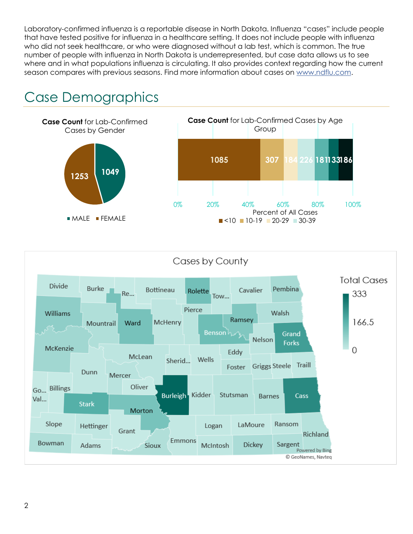Laboratory-confirmed influenza is a reportable disease in North Dakota. Influenza "cases" include people that have tested positive for influenza in a healthcare setting. It does not include people with influenza who did not seek healthcare, or who were diagnosed without a lab test, which is common. The true number of people with influenza in North Dakota is underrepresented, but case data allows us to see where and in what populations influenza is circulating. It also provides context regarding how the current season compares with previous seasons. Find more information about cases on [www.ndflu.com.](file://///nd.gov/doh/DOH-DATA/MSS/DC/PROGRAM/IMMUNE/Immunize/Influenza/Inf18-19/Surveillance/Weekly%20Summaries/www.ndflu.com)

# Case Demographics



#### Cases by County

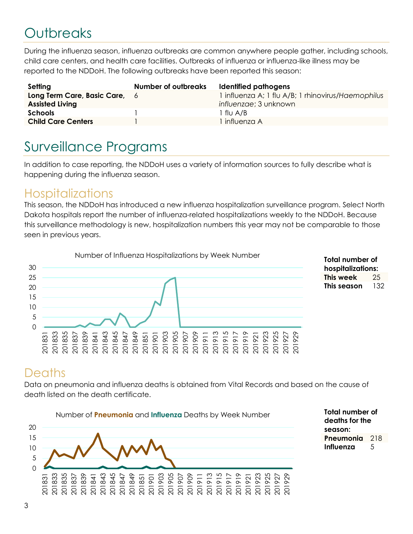# **Outbreaks**

During the influenza season, influenza outbreaks are common anywhere people gather, including schools, child care centers, and health care facilities. Outbreaks of influenza or influenza-like illness may be reported to the NDDoH. The following outbreaks have been reported this season:

| Setting                                                 | <b>Number of outbreaks</b> | Identified pathogens                                                        |
|---------------------------------------------------------|----------------------------|-----------------------------------------------------------------------------|
| Long Term Care, Basic Care, 6<br><b>Assisted Living</b> |                            | 1 influenza A; 1 flu A/B; 1 rhinovirus/Haemophilus<br>influenzae; 3 unknown |
| <b>Schools</b>                                          |                            | 1 flu A/B                                                                   |
| <b>Child Care Centers</b>                               |                            | l influenza A                                                               |

## Surveillance Programs

In addition to case reporting, the NDDoH uses a variety of information sources to fully describe what is happening during the influenza season.

#### **Hospitalizations**

This season, the NDDoH has introduced a new influenza hospitalization surveillance program. Select North Dakota hospitals report the number of influenza-related hospitalizations weekly to the NDDoH. Because this surveillance methodology is new, hospitalization numbers this year may not be comparable to those seen in previous years.



**Total number of hospitalizations: This week** 25 **This season** 132

#### **Deaths**

Data on pneumonia and influenza deaths is obtained from Vital Records and based on the cause of death listed on the death certificate.



**Total number of deaths for the season: Pneumonia** 218 **Influenza** 5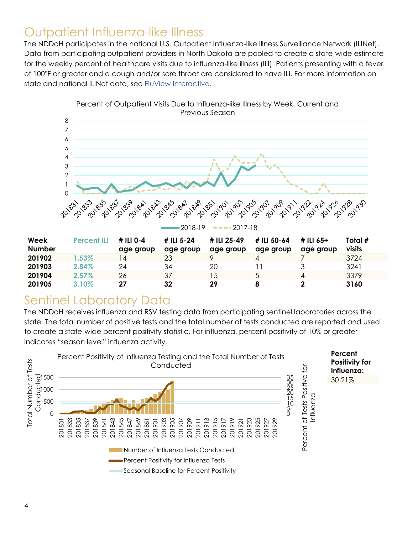#### Outpatient Influenza-like Illness

The NDDoH participates in the national U.S. Outpatient Influenza-like Illness Surveillance Network (ILINet). Data from participating outpatient providers in North Dakota are pooled to create a state-wide estimate for the weekly percent of healthcare visits due to influenza-like illness (ILI). Patients presenting with a fever of 100ºF or greater and a cough and/or sore throat are considered to have ILI. For more information on state and national ILINet data, see [FluView Interactive.](https://gis.cdc.gov/grasp/fluview/fluportaldashboard.html)



#### Sentinel Laboratory Data

The NDDoH receives influenza and RSV testing data from participating sentinel laboratories across the state. The total number of positive tests and the total number of tests conducted are reported and used to create a state-wide percent positivity statistic. For influenza, percent positivity of 10% or greater indicates "season level" influenza activity.

**201905 3.10% 27 32 29 8 2 3160**

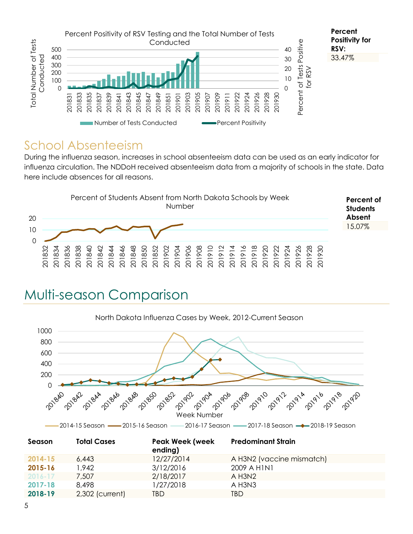

#### School Absenteeism

During the influenza season, increases in school absenteeism data can be used as an early indicator for influenza circulation. The NDDoH received absenteeism data from a majority of schools in the state. Data here include absences for all reasons.



### Multi-season Comparison

![](_page_4_Figure_5.jpeg)

|             |                 | ending)    |                           |  |
|-------------|-----------------|------------|---------------------------|--|
| $2014 - 15$ | 6,443           | 12/27/2014 | A H3N2 (vaccine mismatch) |  |
| 2015-16     | 942.            | 3/12/2016  | 2009 A HINI               |  |
| $2016 - 17$ | 7,507           | 2/18/2017  | $A$ H3N2                  |  |
| 2017-18     | 8.498           | 1/27/2018  | A H3N3                    |  |
| 2018-19     | 2,302 (current) | TBD        | TBD                       |  |